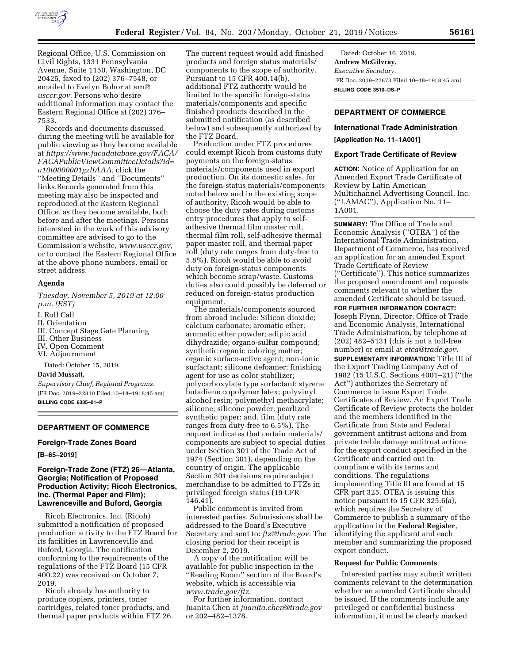

Regional Office, U.S. Commission on Civil Rights, 1331 Pennsylvania Avenue, Suite 1150, Washington, DC 20425, faxed to (202) 376–7548, or emailed to Evelyn Bohor at *[ero@](mailto:ero@usccr.gov) [usccr.gov.](mailto:ero@usccr.gov)* Persons who desire additional information may contact the Eastern Regional Office at (202) 376– 7533.

Records and documents discussed during the meeting will be available for public viewing as they become available at *[https://www.facadatabase.gov/FACA/](https://www.facadatabase.gov/FACA/FACAPublicViewCommitteeDetails?id=a10t0000001gzllAAA)  [FACAPublicViewCommitteeDetails?id=](https://www.facadatabase.gov/FACA/FACAPublicViewCommitteeDetails?id=a10t0000001gzllAAA) [a10t0000001gzllAAA,](https://www.facadatabase.gov/FACA/FACAPublicViewCommitteeDetails?id=a10t0000001gzllAAA)* click the ''Meeting Details'' and ''Documents'' links.Records generated from this meeting may also be inspected and reproduced at the Eastern Regional Office, as they become available, both before and after the meetings. Persons interested in the work of this advisory committee are advised to go to the Commission's website, *[www.usccr.gov,](http://www.usccr.gov)*  or to contact the Eastern Regional Office at the above phone numbers, email or street address.

# **Agenda**

*Tuesday, November 5, 2019 at 12:00 p.m. (EST)* 

I. Roll Call

- II. Orientation
- III. Concept Stage Gate Planning
- III. Other Business
- IV. Open Comment

VI. Adjournment

Dated: October 15, 2019.

## **David Mussatt,**

*Supervisory Chief, Regional Programs.*  [FR Doc. 2019–22810 Filed 10–18–19; 8:45 am] **BILLING CODE 6335–01–P** 

# **DEPARTMENT OF COMMERCE**

# **Foreign-Trade Zones Board**

**[B–65–2019]** 

# **Foreign-Trade Zone (FTZ) 26—Atlanta, Georgia; Notification of Proposed Production Activity; Ricoh Electronics, Inc. (Thermal Paper and Film); Lawrenceville and Buford, Georgia**

Ricoh Electronics, Inc. (Ricoh) submitted a notification of proposed production activity to the FTZ Board for its facilities in Lawrenceville and Buford, Georgia. The notification conforming to the requirements of the regulations of the FTZ Board (15 CFR 400.22) was received on October 7, 2019.

Ricoh already has authority to produce copiers, printers, toner cartridges, related toner products, and thermal paper products within FTZ 26. The current request would add finished products and foreign status materials/ components to the scope of authority. Pursuant to 15 CFR 400.14(b), additional FTZ authority would be limited to the specific foreign-status materials/components and specific finished products described in the submitted notification (as described below) and subsequently authorized by the FTZ Board.

Production under FTZ procedures could exempt Ricoh from customs duty payments on the foreign-status materials/components used in export production. On its domestic sales, for the foreign-status materials/components noted below and in the existing scope of authority, Ricoh would be able to choose the duty rates during customs entry procedures that apply to selfadhesive thermal film master roll, thermal film roll, self-adhesive thermal paper master roll, and thermal paper roll (duty rate ranges from duty-free to 5.8%). Ricoh would be able to avoid duty on foreign-status components which become scrap/waste. Customs duties also could possibly be deferred or reduced on foreign-status production equipment.

The materials/components sourced from abroad include: Silicon dioxide; calcium carbonate; aromatic ether; aromatic ether powder; adipic acid dihydrazide; organo-sulfur compound; synthetic organic coloring matter; organic surface-active agent; non-ionic surfactant; silicone defoamer; finishing agent for use as color stabilizer; polycarboxylate type surfactant; styrene butadiene copolymer latex; polyvinyl alcohol resin; polymethyl methacrylate; silicone; silicone powder; pearlized synthetic paper; and, film (duty rate ranges from duty-free to 6.5%). The request indicates that certain materials/ components are subject to special duties under Section 301 of the Trade Act of 1974 (Section 301), depending on the country of origin. The applicable Section 301 decisions require subject merchandise to be admitted to FTZs in privileged foreign status (19 CFR 146.41).

Public comment is invited from interested parties. Submissions shall be addressed to the Board's Executive Secretary and sent to: *[ftz@trade.gov.](mailto:ftz@trade.gov)* The closing period for their receipt is December 2, 2019.

A copy of the notification will be available for public inspection in the ''Reading Room'' section of the Board's website, which is accessible via *[www.trade.gov/ftz.](http://www.trade.gov/ftz)* 

For further information, contact Juanita Chen at *[juanita.chen@trade.gov](mailto:juanita.chen@trade.gov)*  or 202–482–1378.

Dated: October 16, 2019. **Andrew McGilvray,**  *Executive Secretary.*  [FR Doc. 2019–22873 Filed 10–18–19; 8:45 am] **BILLING CODE 3510–DS–P** 

# **DEPARTMENT OF COMMERCE**

# **International Trade Administration**

**[Application No. 11–1A001]** 

### **Export Trade Certificate of Review**

**ACTION:** Notice of Application for an Amended Export Trade Certificate of Review by Latin American Multichannel Advertising Council, Inc. (''LAMAC''), Application No. 11– 1A001.

**SUMMARY:** The Office of Trade and Economic Analysis (''OTEA'') of the International Trade Administration, Department of Commerce, has received an application for an amended Export Trade Certificate of Review (''Certificate''). This notice summarizes the proposed amendment and requests comments relevant to whether the amended Certificate should be issued.

**FOR FURTHER INFORMATION CONTACT:**  Joseph Flynn, Director, Office of Trade and Economic Analysis, International Trade Administration, by telephone at (202) 482–5131 (this is not a toll-free number) or email at *[etca@trade.gov](mailto:etca@trade.gov)*.

**SUPPLEMENTARY INFORMATION:** Title III of the Export Trading Company Act of 1982 (15 U.S.C. Sections 4001–21) (''the Act'') authorizes the Secretary of Commerce to issue Export Trade Certificates of Review. An Export Trade Certificate of Review protects the holder and the members identified in the Certificate from State and Federal government antitrust actions and from private treble damage antitrust actions for the export conduct specified in the Certificate and carried out in compliance with its terms and conditions. The regulations implementing Title III are found at 15 CFR part 325. OTEA is issuing this notice pursuant to 15 CFR 325.6(a), which requires the Secretary of Commerce to publish a summary of the application in the **Federal Register**, identifying the applicant and each member and summarizing the proposed export conduct.

# **Request for Public Comments**

Interested parties may submit written comments relevant to the determination whether an amended Certificate should be issued. If the comments include any privileged or confidential business information, it must be clearly marked